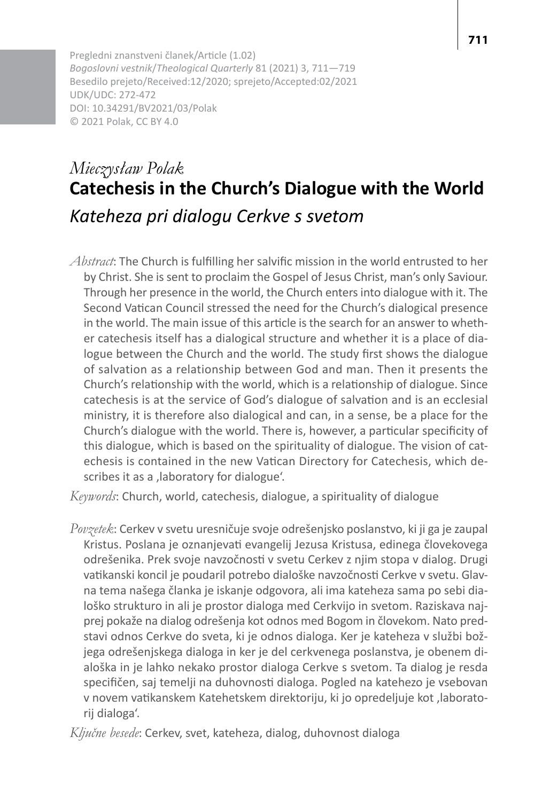Pregledni znanstveni članek/Article (1.02) *Bogoslovni vestnik*/*Theological Quarterly* 81 (2021) 3, 711—719 Besedilo prejeto/Received:12/2020; sprejeto/Accepted:02/2021 UDK/UDC: 272-472 DOI: 10.34291/BV2021/03/Polak © 2021 Polak, CC BY 4.0

# *Mieczysław Polak* **Catechesis in the Church's Dialogue with the World** *Kateheza pri dialogu Cerkve s svetom*

*Abstract*: The Church is fulfilling her salvific mission in the world entrusted to her by Christ. She issent to proclaim the Gospel of Jesus Christ, man's only Saviour. Through her presence in the world, the Church entersinto dialogue with it. The Second Vatican Council stressed the need for the Church's dialogical presence in the world. The main issue of this article isthe search for an answer to whether catechesis itself has a dialogical structure and whether it is a place of dialogue between the Church and the world. The study first shows the dialogue of salvation as a relationship between God and man. Then it presents the Church's relationship with the world, which is a relationship of dialogue. Since catechesis is at the service of God's dialogue of salvation and is an ecclesial ministry, it is therefore also dialogical and can, in a sense, be a place for the Church's dialogue with the world. There is, however, a particular specificity of this dialogue, which is based on the spirituality of dialogue. The vision of catechesis is contained in the new Vatican Directory for Catechesis, which describes it as a ,laboratory for dialogue'.

*Keywords*: Church, world, catechesis, dialogue, a spirituality of dialogue

*Povzetek*: Cerkev v svetu uresničuje svoje odrešenjsko poslanstvo, ki ji ga je zaupal Kristus. Poslana je oznanjevati evangelij Jezusa Kristusa, edinega človekovega odrešenika. Prek svoje navzočnosti v svetu Cerkev z njim stopa v dialog. Drugi vatikanski koncil je poudaril potrebo dialoške navzočnosti Cerkve v svetu. Glavna tema našega članka je iskanje odgovora, ali ima kateheza sama po sebi dialoško strukturo in ali je prostor dialoga med Cerkvijo in svetom. Raziskava najprej pokaže na dialog odrešenja kot odnos med Bogom in človekom. Nato predstavi odnos Cerkve do sveta, ki je odnos dialoga. Ker je kateheza v službi božjega odrešenjskega dialoga in ker je del cerkvenega poslanstva, je obenem dialoška in je lahko nekako prostor dialoga Cerkve s svetom. Ta dialog je resda specifičen, saj temelji na duhovnosti dialoga. Pogled na katehezo je vsebovan v novem vatikanskem Katehetskem direktoriju, ki jo opredeljuje kot ,laboratorij dialoga'.

*Ključne besede*: Cerkev, svet, kateheza, dialog, duhovnost dialoga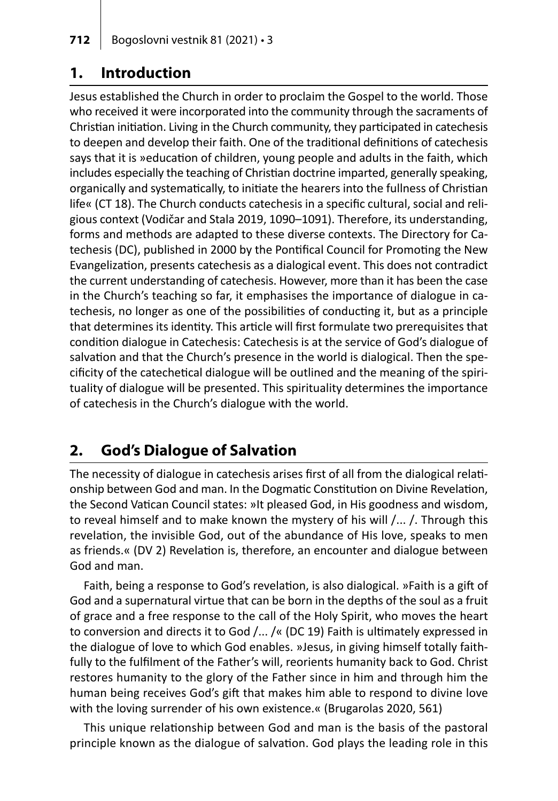### **1. Introduction**

Jesus established the Church in order to proclaim the Gospel to the world. Those who received it were incorporated into the community through the sacraments of Christian initiation. Living in the Church community, they participated in catechesis to deepen and develop their faith. One of the traditional definitions of catechesis says that it is »education of children, young people and adults in the faith, which includes especially the teaching of Christian doctrine imparted, generally speaking, organically and systematically, to initiate the hearers into the fullness of Christian life« (CT 18). The Church conducts catechesis in a specific cultural, social and religious context (Vodičar and Stala 2019, 1090–1091). Therefore, its understanding, forms and methods are adapted to these diverse contexts. The Directory for Catechesis (DC), published in 2000 by the Pontifical Council for Promoting the New Evangelization, presents catechesis as a dialogical event. This does not contradict the current understanding of catechesis. However, more than it has been the case in the Church's teaching so far, it emphasises the importance of dialogue in catechesis, no longer as one of the possibilities of conducting it, but as a principle that determines its identity. This article will first formulate two prerequisites that condition dialogue in Catechesis: Catechesis is at the service of God's dialogue of salvation and that the Church's presence in the world is dialogical. Then the specificity of the catechetical dialogue will be outlined and the meaning of the spirituality of dialogue will be presented. This spirituality determines the importance of catechesis in the Church's dialogue with the world.

## **2. God's Dialogue of Salvation**

The necessity of dialogue in catechesis arises first of all from the dialogical relationship between God and man. In the Dogmatic Constitution on Divine Revelation, the Second Vatican Council states: »It pleased God, in His goodness and wisdom, to reveal himself and to make known the mystery of his will /... /. Through this revelation, the invisible God, out of the abundance of His love, speaks to men as friends.« (DV 2) Revelation is, therefore, an encounter and dialogue between God and man.

Faith, being a response to God's revelation, is also dialogical. »Faith is a gift of God and a supernatural virtue that can be born in the depths of the soul as a fruit of grace and a free response to the call of the Holy Spirit, who moves the heart to conversion and directs it to God /... /« (DC 19) Faith is ultimately expressed in the dialogue of love to which God enables. »Jesus, in giving himself totally faithfully to the fulfilment of the Father's will, reorients humanity back to God. Christ restores humanity to the glory of the Father since in him and through him the human being receives God's gift that makes him able to respond to divine love with the loving surrender of his own existence.« (Brugarolas 2020, 561)

This unique relationship between God and man is the basis of the pastoral principle known as the dialogue of salvation. God plays the leading role in this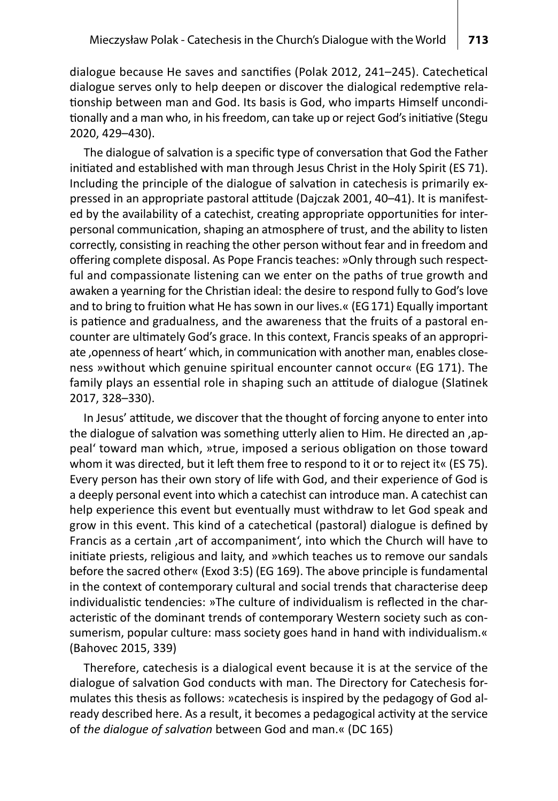dialogue because He saves and sanctifies (Polak 2012, 241–245). Catechetical dialogue serves only to help deepen or discover the dialogical redemptive relationship between man and God. Its basis is God, who imparts Himself unconditionally and a man who, in his freedom, can take up or reject God's initiative (Stegu 2020, 429–430).

The dialogue of salvation is a specific type of conversation that God the Father initiated and established with man through Jesus Christ in the Holy Spirit (ES 71). Including the principle of the dialogue of salvation in catechesis is primarily expressed in an appropriate pastoral attitude (Dajczak 2001, 40–41). It is manifested by the availability of a catechist, creating appropriate opportunities for interpersonal communication, shaping an atmosphere of trust, and the ability to listen correctly, consisting in reaching the other person without fear and in freedom and offering complete disposal. As Pope Francis teaches: »Only through such respectful and compassionate listening can we enter on the paths of true growth and awaken a yearning for the Christian ideal: the desire to respond fully to God's love and to bring to fruition what He hassown in our lives.« (EG171) Equally important is patience and gradualness, and the awareness that the fruits of a pastoral encounter are ultimately God's grace. In this context, Francis speaks of an appropriate 'openness of heart' which, in communication with another man, enables closeness »without which genuine spiritual encounter cannot occur« (EG 171). The family plays an essential role in shaping such an attitude of dialogue (Slatinek 2017, 328–330).

In Jesus' attitude, we discover that the thought of forcing anyone to enter into the dialogue of salvation was something utterly alien to Him. He directed an, appeal' toward man which, »true, imposed a serious obligation on those toward whom it was directed, but it left them free to respond to it or to reject it« (ES 75). Every person has their own story of life with God, and their experience of God is a deeply personal event into which a catechist can introduce man. A catechist can help experience this event but eventually must withdraw to let God speak and grow in this event. This kind of a catechetical (pastoral) dialogue is defined by Francis as a certain ,art of accompaniment', into which the Church will have to initiate priests, religious and laity, and »which teaches us to remove our sandals before the sacred other« (Exod 3:5) (EG 169). The above principle is fundamental in the context of contemporary cultural and social trends that characterise deep individualistic tendencies: »The culture of individualism is reflected in the characteristic of the dominant trends of contemporary Western society such as consumerism, popular culture: mass society goes hand in hand with individualism.« (Bahovec 2015, 339)

Therefore, catechesis is a dialogical event because it is at the service of the dialogue of salvation God conducts with man. The Directory for Catechesis formulates this thesis as follows: »catechesis is inspired by the pedagogy of God already described here. As a result, it becomes a pedagogical activity at the service of *the dialogue of salvation* between God and man.« (DC 165)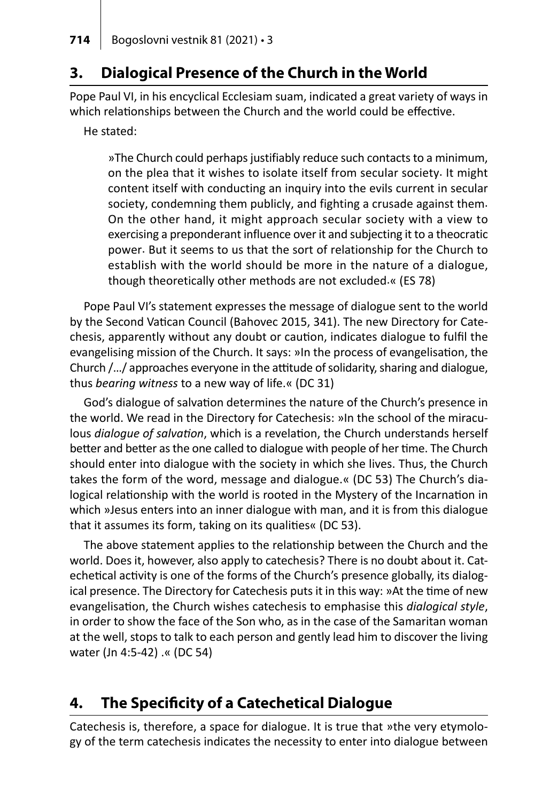### **3. Dialogical Presence of the Church in the World**

Pope Paul VI, in his encyclical Ecclesiam suam, indicated a great variety of ways in which relationships between the Church and the world could be effective.

He stated:

»The Church could perhaps justifiably reduce such contacts to a minimum, on the plea that it wishes to isolate itself from secular society. It might content itself with conducting an inquiry into the evils current in secular society, condemning them publicly, and fighting a crusade against them. On the other hand, it might approach secular society with a view to exercising a preponderant influence over it and subjecting it to a theocratic power. But it seems to us that the sort of relationship for the Church to establish with the world should be more in the nature of a dialogue, though theoretically other methods are not excluded.« (ES 78)

Pope Paul VI's statement expresses the message of dialogue sent to the world by the Second Vatican Council (Bahovec 2015, 341). The new Directory for Catechesis, apparently without any doubt or caution, indicates dialogue to fulfil the evangelising mission of the Church. It says: »In the process of evangelisation, the Church /.../ approaches everyone in the attitude of solidarity, sharing and dialogue, thus *bearing witness* to a new way of life.« (DC 31)

God's dialogue of salvation determines the nature of the Church's presence in the world. We read in the Directory for Catechesis: »In the school of the miraculous *dialogue of salvation*, which is a revelation, the Church understands herself better and better as the one called to dialogue with people of her time. The Church should enter into dialogue with the society in which she lives. Thus, the Church takes the form of the word, message and dialogue.« (DC 53) The Church's dialogical relationship with the world is rooted in the Mystery of the Incarnation in which »Jesus enters into an inner dialogue with man, and it is from this dialogue that it assumes its form, taking on its qualities« (DC 53).

The above statement applies to the relationship between the Church and the world. Does it, however, also apply to catechesis? There is no doubt about it. Catechetical activity is one of the forms of the Church's presence globally, its dialogical presence. The Directory for Catechesis puts it in this way: »At the time of new evangelisation, the Church wishes catechesis to emphasise this *dialogical style*, in order to show the face of the Son who, as in the case of the Samaritan woman at the well, stops to talk to each person and gently lead him to discover the living water (Jn 4:5-42) .« (DC 54)

### **4. The Specificity of a Catechetical Dialogue**

Catechesis is, therefore, a space for dialogue. It is true that »the very etymology of the term catechesis indicates the necessity to enter into dialogue between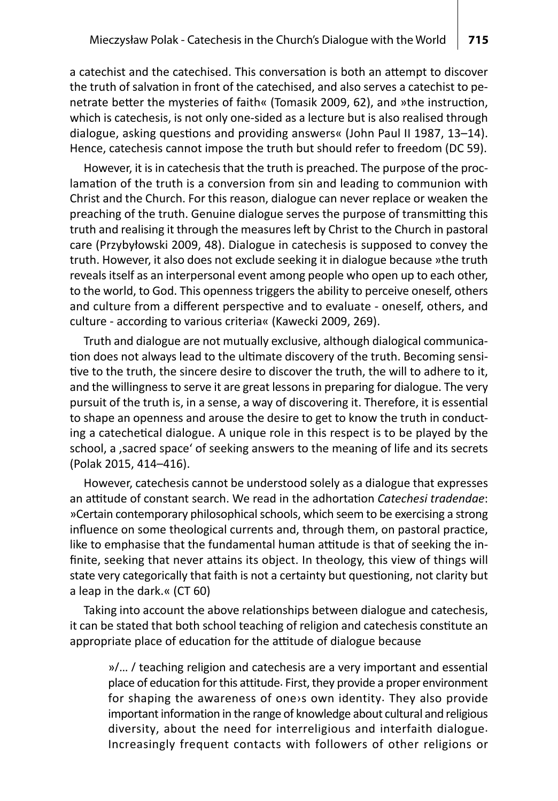a catechist and the catechised. This conversation is both an attempt to discover the truth of salvation in front of the catechised, and also serves a catechist to penetrate better the mysteries of faith« (Tomasik 2009, 62), and »the instruction, which is catechesis, is not only one-sided as a lecture but is also realised through dialogue, asking questions and providing answers« (John Paul II 1987, 13–14). Hence, catechesis cannot impose the truth but should refer to freedom (DC 59).

However, it is in catechesis that the truth is preached. The purpose of the proclamation of the truth is a conversion from sin and leading to communion with Christ and the Church. For this reason, dialogue can never replace or weaken the preaching of the truth. Genuine dialogue serves the purpose of transmitting this truth and realising it through the measuresleft by Christ to the Church in pastoral care (Przybyłowski 2009, 48). Dialogue in catechesis is supposed to convey the truth. However, it also does not exclude seeking it in dialogue because »the truth reveals itself as an interpersonal event among people who open up to each other, to the world, to God. This openness triggersthe ability to perceive oneself, others and culture from a different perspective and to evaluate - oneself, others, and culture - according to various criteria« (Kawecki 2009, 269).

Truth and dialogue are not mutually exclusive, although dialogical communication does not always lead to the ultimate discovery of the truth. Becoming sensitive to the truth, the sincere desire to discover the truth, the will to adhere to it, and the willingness to serve it are great lessons in preparing for dialogue. The very pursuit of the truth is, in a sense, a way of discovering it. Therefore, it is essential to shape an openness and arouse the desire to get to know the truth in conducting a catechetical dialogue. A unique role in this respect is to be played by the school, a , sacred space' of seeking answers to the meaning of life and its secrets (Polak 2015, 414–416).

However, catechesis cannot be understood solely as a dialogue that expresses an attitude of constant search. We read in the adhortation *Catechesi tradendae*: »Certain contemporary philosophical schools, which seem to be exercising a strong influence on some theological currents and, through them, on pastoral practice, like to emphasise that the fundamental human attitude is that of seeking the infinite, seeking that never attains its object. In theology, this view of things will state very categorically that faith is not a certainty but questioning, not clarity but a leap in the dark.« (CT 60)

Taking into account the above relationships between dialogue and catechesis, it can be stated that both school teaching of religion and catechesis constitute an appropriate place of education for the attitude of dialogue because

»/… / teaching religion and catechesis are a very important and essential place of education for this attitude. First, they provide a proper environment for shaping the awareness of one›s own identity. They also provide important information in the range of knowledge about cultural and religious diversity, about the need for interreligious and interfaith dialogue. Increasingly frequent contacts with followers of other religions or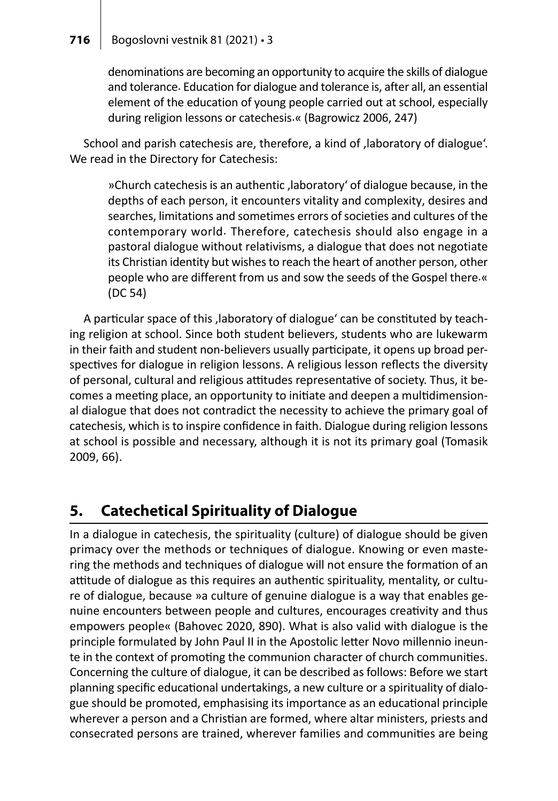#### **716** Bogoslovni vestnik 81 (2021) • 3

denominations are becoming an opportunity to acquire the skills of dialogue and tolerance. Education for dialogue and tolerance is, after all, an essential element of the education of young people carried out at school, especially during religion lessons or catechesis.« (Bagrowicz 2006, 247)

School and parish catechesis are, therefore, a kind of ,laboratory of dialogue'. We read in the Directory for Catechesis:

»Church catechesis is an authentic, laboratory' of dialogue because, in the depths of each person, it encounters vitality and complexity, desires and searches, limitations and sometimes errors of societies and cultures of the contemporary world. Therefore, catechesis should also engage in a pastoral dialogue without relativisms, a dialogue that does not negotiate its Christian identity but wishes to reach the heart of another person, other people who are different from us and sow the seeds of the Gospel there.« (DC 54)

A particular space of this ,laboratory of dialogue' can be constituted by teaching religion at school. Since both student believers, students who are lukewarm in their faith and student non-believers usually participate, it opens up broad perspectives for dialogue in religion lessons. A religious lesson reflects the diversity of personal, cultural and religious attitudes representative of society. Thus, it becomes a meeting place, an opportunity to initiate and deepen a multidimensional dialogue that does not contradict the necessity to achieve the primary goal of catechesis, which is to inspire confidence in faith. Dialogue during religion lessons at school is possible and necessary, although it is not its primary goal (Tomasik 2009, 66).

### **5. Catechetical Spirituality of Dialogue**

In a dialogue in catechesis, the spirituality (culture) of dialogue should be given primacy over the methods or techniques of dialogue. Knowing or even mastering the methods and techniques of dialogue will not ensure the formation of an attitude of dialogue as this requires an authentic spirituality, mentality, or culture of dialogue, because »a culture of genuine dialogue is a way that enables genuine encounters between people and cultures, encourages creativity and thus empowers people« (Bahovec 2020, 890). What is also valid with dialogue is the principle formulated by John Paul II in the Apostolic letter Novo millennio ineunte in the context of promoting the communion character of church communities. Concerning the culture of dialogue, it can be described as follows: Before we start planning specific educational undertakings, a new culture or a spirituality of dialogue should be promoted, emphasising its importance as an educational principle wherever a person and a Christian are formed, where altar ministers, priests and consecrated persons are trained, wherever families and communities are being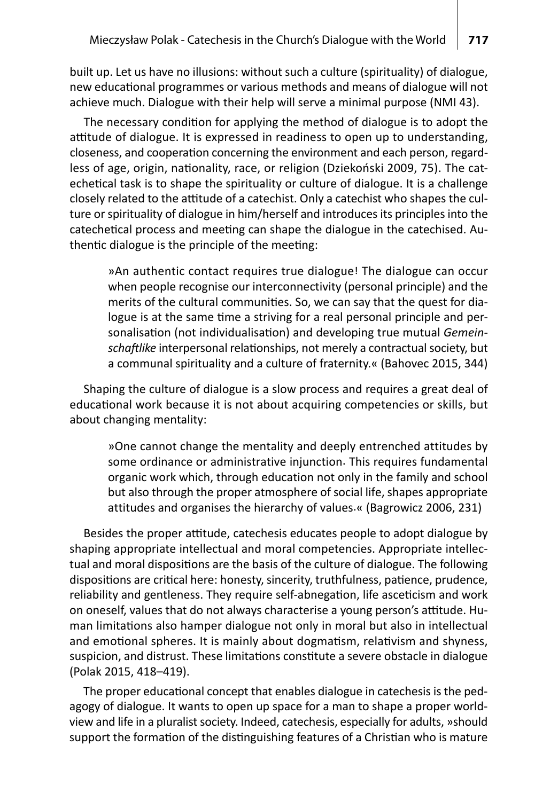built up. Let us have no illusions: without such a culture (spirituality) of dialogue, new educational programmes or various methods and means of dialogue will not achieve much. Dialogue with their help will serve a minimal purpose (NMI 43).

The necessary condition for applying the method of dialogue is to adopt the attitude of dialogue. It is expressed in readiness to open up to understanding, closeness, and cooperation concerning the environment and each person, regardless of age, origin, nationality, race, or religion (Dziekoński 2009, 75). The catechetical task is to shape the spirituality or culture of dialogue. It is a challenge closely related to the attitude of a catechist. Only a catechist who shapes the culture or spirituality of dialogue in him/herself and introduces its principles into the catechetical process and meeting can shape the dialogue in the catechised. Authentic dialogue is the principle of the meeting:

»An authentic contact requires true dialogue! The dialogue can occur when people recognise our interconnectivity (personal principle) and the merits of the cultural communities. So, we can say that the quest for dialogue is at the same time a striving for a real personal principle and personalisation (not individualisation) and developing true mutual *Gemein*schaftlike interpersonal relationships, not merely a contractual society, but a communal spirituality and a culture of fraternity.« (Bahovec 2015, 344)

Shaping the culture of dialogue is a slow process and requires a great deal of educational work because it is not about acquiring competencies or skills, but about changing mentality:

»One cannot change the mentality and deeply entrenched attitudes by some ordinance or administrative injunction. This requires fundamental organic work which, through education not only in the family and school but also through the proper atmosphere of social life, shapes appropriate attitudes and organises the hierarchy of values.« (Bagrowicz 2006, 231)

Besides the proper attitude, catechesis educates people to adopt dialogue by shaping appropriate intellectual and moral competencies. Appropriate intellectual and moral dispositions are the basis of the culture of dialogue. The following dispositions are critical here: honesty, sincerity, truthfulness, patience, prudence, reliability and gentleness. They require self-abnegation, life asceticism and work on oneself, values that do not always characterise a young person's attitude. Human limitations also hamper dialogue not only in moral but also in intellectual and emotional spheres. It is mainly about dogmatism, relativism and shyness, suspicion, and distrust. These limitations constitute a severe obstacle in dialogue (Polak 2015, 418–419).

The proper educational concept that enables dialogue in catechesis is the pedagogy of dialogue. It wants to open up space for a man to shape a proper worldview and life in a pluralist society. Indeed, catechesis, especially for adults, »should support the formation of the distinguishing features of a Christian who is mature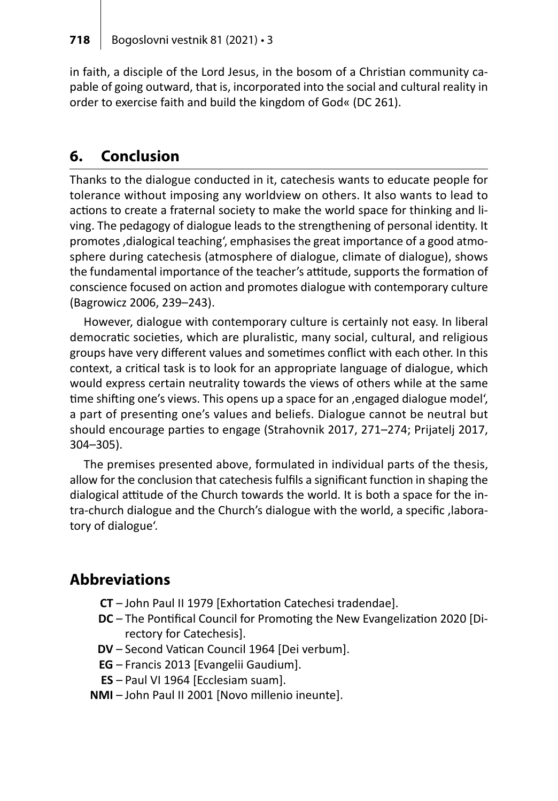in faith, a disciple of the Lord Jesus, in the bosom of a Christian community capable of going outward, that is, incorporated into the social and cultural reality in order to exercise faith and build the kingdom of God« (DC 261).

### **6. Conclusion**

Thanks to the dialogue conducted in it, catechesis wants to educate people for tolerance without imposing any worldview on others. It also wants to lead to actions to create a fraternal society to make the world space for thinking and living. The pedagogy of dialogue leads to the strengthening of personal identity. It promotes ,dialogical teaching', emphasises the great importance of a good atmosphere during catechesis (atmosphere of dialogue, climate of dialogue), shows the fundamental importance of the teacher's attitude, supports the formation of conscience focused on action and promotes dialogue with contemporary culture (Bagrowicz 2006, 239–243).

However, dialogue with contemporary culture is certainly not easy. In liberal democratic societies, which are pluralistic, many social, cultural, and religious groups have very different values and sometimes conflict with each other. In this context, a critical task is to look for an appropriate language of dialogue, which would express certain neutrality towards the views of others while at the same time shifting one's views. This opens up a space for an , engaged dialogue model', a part of presenting one's values and beliefs. Dialogue cannot be neutral but should encourage parties to engage (Strahovnik 2017, 271–274; Prijatelj 2017, 304–305).

The premises presented above, formulated in individual parts of the thesis, allow for the conclusion that catechesisfulfils a significant function in shaping the dialogical attitude of the Church towards the world. It is both a space for the intra-church dialogue and the Church's dialogue with the world, a specific ,laboratory of dialogue'.

### **Abbreviations**

- **CT** John Paul II 1979 [Exhortation Catechesi tradendae].
- **DC** The Pontifical Council for Promoting the New Evangelization 2020 [Directory for Catechesis].
- **DV** Second Vatican Council 1964 [Dei verbum].
- **EG** Francis 2013 [Evangelii Gaudium].
- **ES** Paul VI 1964 [Ecclesiam suam].
- **NMI** John Paul II 2001 [Novo millenio ineunte].